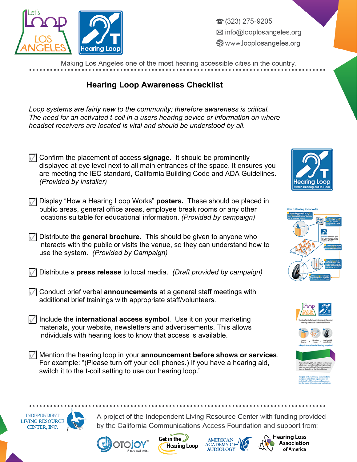

275-9205 ⊠ info@looplosangeles.org Www.looplosangeles.org

Making Los Angeles one of the most hearing accessible cities in the country.

## **Hearing Loop Awareness Checklist**

| Loop systems are fairly new to the community; therefore awareness is critical.<br>The need for an activated t-coil in a users hearing device or information on where<br>headset receivers are located is vital and should be understood by all.                                 |                                                                                                                                                                                                                                                                               |
|---------------------------------------------------------------------------------------------------------------------------------------------------------------------------------------------------------------------------------------------------------------------------------|-------------------------------------------------------------------------------------------------------------------------------------------------------------------------------------------------------------------------------------------------------------------------------|
| $\sqrt{ }$ Confirm the placement of access <b>signage</b> . It should be prominently<br>displayed at eye level next to all main entrances of the space. It ensures you<br>are meeting the IEC standard, California Building Code and ADA Guidelines.<br>(Provided by installer) | Hearina Loob                                                                                                                                                                                                                                                                  |
| Display "How a Hearing Loop Works" posters. These should be placed in<br>public areas, general office areas, employee break rooms or any other<br>locations suitable for educational information. (Provided by campaign)                                                        | How a Hearing Loop works:                                                                                                                                                                                                                                                     |
| Distribute the general brochure. This should be given to anyone who<br>interacts with the public or visits the venue, so they can understand how to<br>use the system. (Provided by Campaign)                                                                                   |                                                                                                                                                                                                                                                                               |
| Distribute a press release to local media. (Draft provided by campaign)                                                                                                                                                                                                         |                                                                                                                                                                                                                                                                               |
| Conduct brief verbal announcements at a general staff meetings with<br>additional brief trainings with appropriate staff/volunteers.                                                                                                                                            |                                                                                                                                                                                                                                                                               |
| Include the international access symbol. Use it on your marketing<br>materials, your website, newsletters and advertisements. This allows<br>individuals with hearing loss to know that access is available.                                                                    |                                                                                                                                                                                                                                                                               |
| Mention the hearing loop in your announcement before shows or services.<br>For example: "(Please turn off your cell phones.) If you have a hearing aid<br>switch it to the t-coil setting to use our hearing loop."                                                             | earing loss in at<br>least one ear, making it the most prevalent<br>form of disability in the United 5ts<br>The goal of the Let's Loop Santa Barbara<br>ampaign is to obtain equal access for<br>Idividuals with hearing less by promot-<br>ing the usage of hearing loop ted |
|                                                                                                                                                                                                                                                                                 |                                                                                                                                                                                                                                                                               |

**INDEPENDENT** 

**LIVING RESOURCE** 

CENTER, INC.





A project of the Independent Living Resource Center with funding provided

by the California Communications Access Foundation and support from: